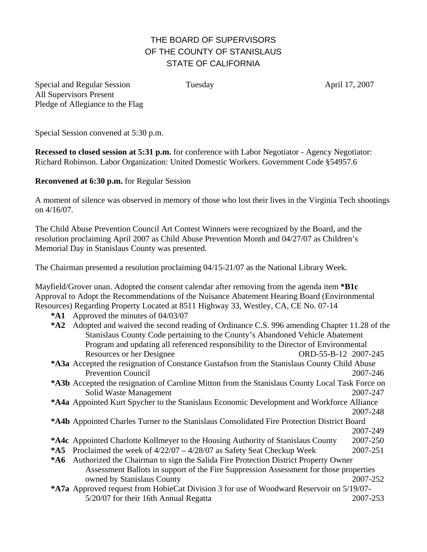## THE BOARD OF SUPERVISORS OF THE COUNTY OF STANISLAUS STATE OF CALIFORNIA

Special and Regular Session Tuesday April 17, 2007 All Supervisors Present Pledge of Allegiance to the Flag

Special Session convened at 5:30 p.m.

**Recessed to closed session at 5:31 p.m.** for conference with Labor Negotiator - Agency Negotiator: Richard Robinson. Labor Organization: United Domestic Workers. Government Code §54957.6

**Reconvened at 6:30 p.m.** for Regular Session

A moment of silence was observed in memory of those who lost their lives in the Virginia Tech shootings on 4/16/07.

The Child Abuse Prevention Council Art Contest Winners were recognized by the Board, and the resolution proclaiming April 2007 as Child Abuse Prevention Month and 04/27/07 as Children's Memorial Day in Stanislaus County was presented.

The Chairman presented a resolution proclaiming 04/15-21/07 as the National Library Week.

Mayfield/Grover unan. Adopted the consent calendar after removing from the agenda item **\*B1c**  Approval to Adopt the Recommendations of the Nuisance Abatement Hearing Board (Environmental Resources) Regarding Property Located at 8511 Highway 33, Westley, CA, CE No. 07-14

- **\*A1** Approved the minutes of 04/03/07
- **\*A2** Adopted and waived the second reading of Ordinance C.S. 996 amending Chapter 11.28 of the Stanislaus County Code pertaining to the County's Abandoned Vehicle Abatement Program and updating all referenced responsibility to the Director of Environmental Resources or her Designee ORD-55-B-12 2007-245
- **\*A3a** Accepted the resignation of Constance Gustafson from the Stanislaus County Child Abuse Prevention Council 2007-246
- **\*A3b** Accepted the resignation of Caroline Mitton from the Stanislaus County Local Task Force on Solid Waste Management 2007-247
- **\*A4a** Appointed Kurt Spycher to the Stanislaus Economic Development and Workforce Alliance 2007-248
- **\*A4b** Appointed Charles Turner to the Stanislaus Consolidated Fire Protection District Board 2007-249
- **\*A4c** Appointed Charlotte Kollmeyer to the Housing Authority of Stanislaus County 2007-250
- **\*A5** Proclaimed the week of 4/22/07 4/28/07 as Safety Seat Checkup Week 2007-251
- **\*A6** Authorized the Chairman to sign the Salida Fire Protection District Property Owner Assessment Ballots in support of the Fire Suppression Assessment for those properties owned by Stanislaus County 2007-252
- **\*A7a** Approved request from HobieCat Division 3 for use of Woodward Reservoir on 5/19/07- 5/20/07 for their 16th Annual Regatta 2007-253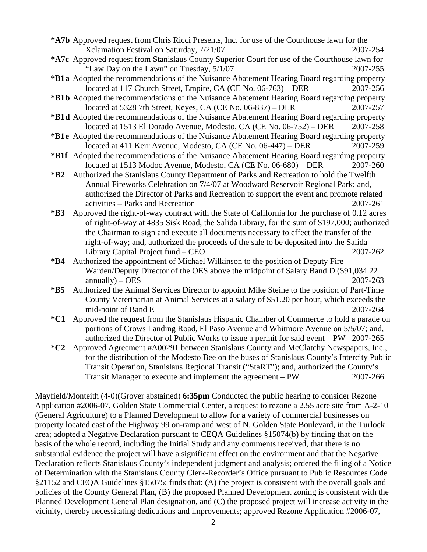- **\*A7b** Approved request from Chris Ricci Presents, Inc. for use of the Courthouse lawn for the Xclamation Festival on Saturday,  $7/21/07$  2007-254
- **\*A7c** Approved request from Stanislaus County Superior Court for use of the Courthouse lawn for "Law Day on the Lawn" on Tuesday, 5/1/07 2007-255
- **\*B1 a** Adopted the recommendations of the Nuisance Abatement Hearing Board regarding property located at 117 Church Street, Empire, CA (CE No. 06-763) – DER 2007-256
- **\*B1 b** Adopted the recommendations of the Nuisance Abatement Hearing Board regarding property located at 5328 7th Street, Keyes, CA (CE No. 06-837) – DER 2007-257
- **\*B1 d** Adopted the recommendations of the Nuisance Abatement Hearing Board regarding property located at 1513 El Dorado Avenue, Modesto, CA (CE No. 06-752) – DER 2007-258
- **\*B1 e** Adopted the recommendations of the Nuisance Abatement Hearing Board regarding property located at 411 Kerr Avenue, Modesto, CA (CE No. 06-447) – DER 2007-259
- **\*B1f** Adopted the recommendations of the Nuisance Abatement Hearing Board regarding property located at 1513 Modoc Avenue, Modesto, CA (CE No. 06-680) – DER 2007-260
- **\*B2** Authorized the Stanislaus County Department of Parks and Recreation to hold the Twelfth Annual Fireworks Celebration on 7/4/07 at Woodward Reservoir Regional Park; and, authorized the Director of Parks and Recreation to support the event and promote related activities – Parks and Recreation 2007-261
- **\*B3** Approved the right-of-way contract with the State of California for the purchase of 0.12 acres of right-of-way at 4835 Sisk Road, the Salida Library, for the sum of \$197,000; authorized the Chairman to sign and execute all documents necessary to effect the transfer of the right-of-way; and, authorized the proceeds of the sale to be deposited into the Salida Library Capital Project fund – CEO 2007-262
- **\*B4** Authorized the appointment of Michael Wilkinson to the position of Deputy Fire Warden/Deputy Director of the OES above the midpoint of Salary Band D (\$91,034.22  $annually) - OES$  2007-263
- **\*B5** Authorized the Animal Services Director to appoint Mike Steine to the position of Part-Time County Veterinarian at Animal Services at a salary of \$51.20 per hour, which exceeds the mid-point of Band E 2007-264
- **\*C1** Approved the request from the Stanislaus Hispanic Chamber of Commerce to hold a parade on portions of Crows Landing Road, El Paso Avenue and Whitmore Avenue on 5/5/07; and, authorized the Director of Public Works to issue a permit for said event – PW 2007-265
- **\*C2** Approved Agreement #A00291 between Stanislaus County and McClatchy Newspapers, Inc., for the distribution of the Modesto Bee on the buses of Stanislaus County's Intercity Public Transit Operation, Stanislaus Regional Transit ("StaRT"); and, authorized the County's Transit Manager to execute and implement the agreement – PW 2007-266

Mayfield/Monteith (4-0)(Grover abstained) **6:35pm** Conducted the public hearing to consider Rezone Application #2006-07, Golden State Commercial Center, a request to rezone a 2.55 acre site from A-2-10 (General Agriculture) to a Planned Development to allow for a variety of commercial businesses on property located east of the Highway 99 on-ramp and west of N. Golden State Boulevard, in the Turlock area; adopted a Negative Declaration pursuant to CEQA Guidelines §15074(b) by finding that on the basis of the whole record, including the Initial Study and any comments received, that there is no substantial evidence the project will have a significant effect on the environment and that the Negative Declaration reflects Stanislaus County's independent judgment and analysis; ordered the filing of a Notice of Determination with the Stanislaus County Clerk-Recorder's Office pursuant to Public Resources Code §21152 and CEQA Guidelines §15075; finds that: (A) the project is consistent with the overall goals and policies of the County General Plan, (B) the proposed Planned Development zoning is consistent with the Planned Development General Plan designation, and (C) the proposed project will increase activity in the vicinity, thereby necessitating dedications and improvements; approved Rezone Application #2006-07,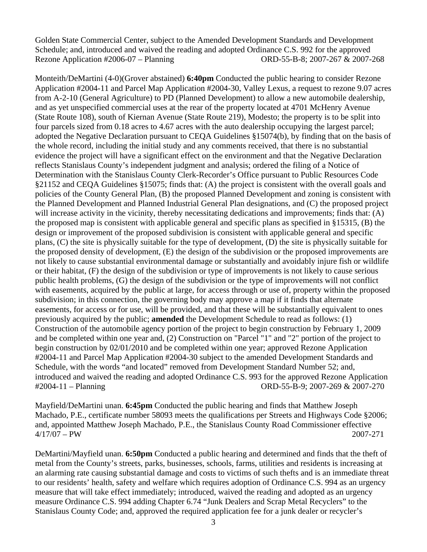Golden State Commercial Center, subject to the Amended Development Standards and Development Schedule; and, introduced and waived the reading and adopted Ordinance C.S. 992 for the approved Rezone Application #2006-07 – Planning ORD-55-B-8; 2007-267 & 2007-268

Monteith/DeMartini (4-0)(Grover abstained) **6:40pm** Conducted the public hearing to consider Rezone Application #2004-11 and Parcel Map Application #2004-30, Valley Lexus, a request to rezone 9.07 acres from A-2-10 (General Agriculture) to PD (Planned Development) to allow a new automobile dealership, and as yet unspecified commercial uses at the rear of the property located at 4701 McHenry Avenue (State Route 108), south of Kiernan Avenue (State Route 219), Modesto; the property is to be split into four parcels sized from 0.18 acres to 4.67 acres with the auto dealership occupying the largest parcel; adopted the Negative Declaration pursuant to CEQA Guidelines §15074(b), by finding that on the basis of the whole record, including the initial study and any comments received, that there is no substantial evidence the project will have a significant effect on the environment and that the Negative Declaration reflects Stanislaus County's independent judgment and analysis; ordered the filing of a Notice of Determination with the Stanislaus County Clerk-Recorder's Office pursuant to Public Resources Code §21152 and CEQA Guidelines §15075; finds that: (A) the project is consistent with the overall goals and policies of the County General Plan, (B) the proposed Planned Development and zoning is consistent with the Planned Development and Planned Industrial General Plan designations, and (C) the proposed project will increase activity in the vicinity, thereby necessitating dedications and improvements; finds that: (A) the proposed map is consistent with applicable general and specific plans as specified in §15315, (B) the design or improvement of the proposed subdivision is consistent with applicable general and specific plans, (C) the site is physically suitable for the type of development, (D) the site is physically suitable for the proposed density of development, (E) the design of the subdivision or the proposed improvements are not likely to cause substantial environmental damage or substantially and avoidably injure fish or wildlife or their habitat, (F) the design of the subdivision or type of improvements is not likely to cause serious public health problems, (G) the design of the subdivision or the type of improvements will not conflict with easements, acquired by the public at large, for access through or use of, property within the proposed subdivision; in this connection, the governing body may approve a map if it finds that alternate easements, for access or for use, will be provided, and that these will be substantially equivalent to ones previously acquired by the public; **amended** the Development Schedule to read as follows: (1) Construction of the automobile agency portion of the project to begin construction by February 1, 2009 and be completed within one year and, (2) Construction on "Parcel "1" and "2" portion of the project to begin construction by 02/01/2010 and be completed within one year; approved Rezone Application #2004-11 and Parcel Map Application #2004-30 subject to the amended Development Standards and Schedule, with the words "and located" removed from Development Standard Number 52; and, introduced and waived the reading and adopted Ordinance C.S. 993 for the approved Rezone Application #2004-11 – Planning ORD-55-B-9; 2007-269 & 2007-270

Mayfield/DeMartini unan. **6:45pm** Conducted the public hearing and finds that Matthew Joseph Machado, P.E., certificate number 58093 meets the qualifications per Streets and Highways Code §2006; and, appointed Matthew Joseph Machado, P.E., the Stanislaus County Road Commissioner effective 4/17/07 – PW 2007-271

DeMartini/Mayfield unan. **6:50pm** Conducted a public hearing and determined and finds that the theft of metal from the County's streets, parks, businesses, schools, farms, utilities and residents is increasing at an alarming rate causing substantial damage and costs to victims of such thefts and is an immediate threat to our residents' health, safety and welfare which requires adoption of Ordinance C.S. 994 as an urgency measure that will take effect immediately; introduced, waived the reading and adopted as an urgency measure Ordinance C.S. 994 adding Chapter 6.74 "Junk Dealers and Scrap Metal Recyclers" to the Stanislaus County Code; and, approved the required application fee for a junk dealer or recycler's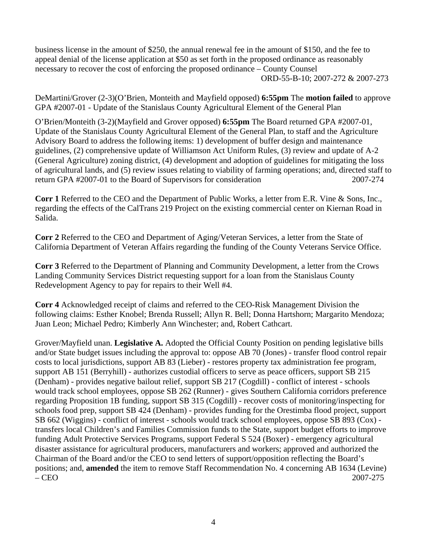business license in the amount of \$250, the annual renewal fee in the amount of \$150, and the fee to appeal denial of the license application at \$50 as set forth in the proposed ordinance as reasonably necessary to recover the cost of enforcing the proposed ordinance – County Counsel ORD-55-B-10; 2007-272 & 2007-273

DeMartini/Grover (2-3)(O'Brien, Monteith and Mayfield opposed) **6:55pm** The **motion failed** to approve GPA #2007-01 - Update of the Stanislaus County Agricultural Element of the General Plan

O'Brien/Monteith (3-2)(Mayfield and Grover opposed) **6:55pm** The Board returned GPA #2007-01, Update of the Stanislaus County Agricultural Element of the General Plan, to staff and the Agriculture Advisory Board to address the following items: 1) development of buffer design and maintenance guidelines, (2) comprehensive update of Williamson Act Uniform Rules, (3) review and update of A-2 (General Agriculture) zoning district, (4) development and adoption of guidelines for mitigating the loss of agricultural lands, and (5) review issues relating to viability of farming operations; and, directed staff to return GPA #2007-01 to the Board of Supervisors for consideration 2007-274

**Corr 1** Referred to the CEO and the Department of Public Works, a letter from E.R. Vine & Sons, Inc., regarding the effects of the CalTrans 219 Project on the existing commercial center on Kiernan Road in Salida.

**Corr 2** Referred to the CEO and Department of Aging/Veteran Services, a letter from the State of California Department of Veteran Affairs regarding the funding of the County Veterans Service Office.

**Corr 3** Referred to the Department of Planning and Community Development, a letter from the Crows Landing Community Services District requesting support for a loan from the Stanislaus County Redevelopment Agency to pay for repairs to their Well #4.

**Corr 4** Acknowledged receipt of claims and referred to the CEO-Risk Management Division the following claims: Esther Knobel; Brenda Russell; Allyn R. Bell; Donna Hartshorn; Margarito Mendoza; Juan Leon; Michael Pedro; Kimberly Ann Winchester; and, Robert Cathcart.

Grover/Mayfield unan. **Legislative A.** Adopted the Official County Position on pending legislative bills and/or State budget issues including the approval to: oppose AB 70 (Jones) - transfer flood control repair costs to local jurisdictions, support AB 83 (Lieber) - restores property tax administration fee program, support AB 151 (Berryhill) - authorizes custodial officers to serve as peace officers, support SB 215 (Denham) - provides negative bailout relief, support SB 217 (Cogdill) - conflict of interest - schools would track school employees, oppose SB 262 (Runner) - gives Southern California corridors preference regarding Proposition 1B funding, support SB 315 (Cogdill) - recover costs of monitoring/inspecting for schools food prep, support SB 424 (Denham) - provides funding for the Orestimba flood project, support SB 662 (Wiggins) - conflict of interest - schools would track school employees, oppose SB 893 (Cox) transfers local Children's and Families Commission funds to the State, support budget efforts to improve funding Adult Protective Services Programs, support Federal S 524 (Boxer) - emergency agricultural disaster assistance for agricultural producers, manufacturers and workers; approved and authorized the Chairman of the Board and/or the CEO to send letters of support/opposition reflecting the Board's positions; and, **amended** the item to remove Staff Recommendation No. 4 concerning AB 1634 (Levine) – CEO 2007-275